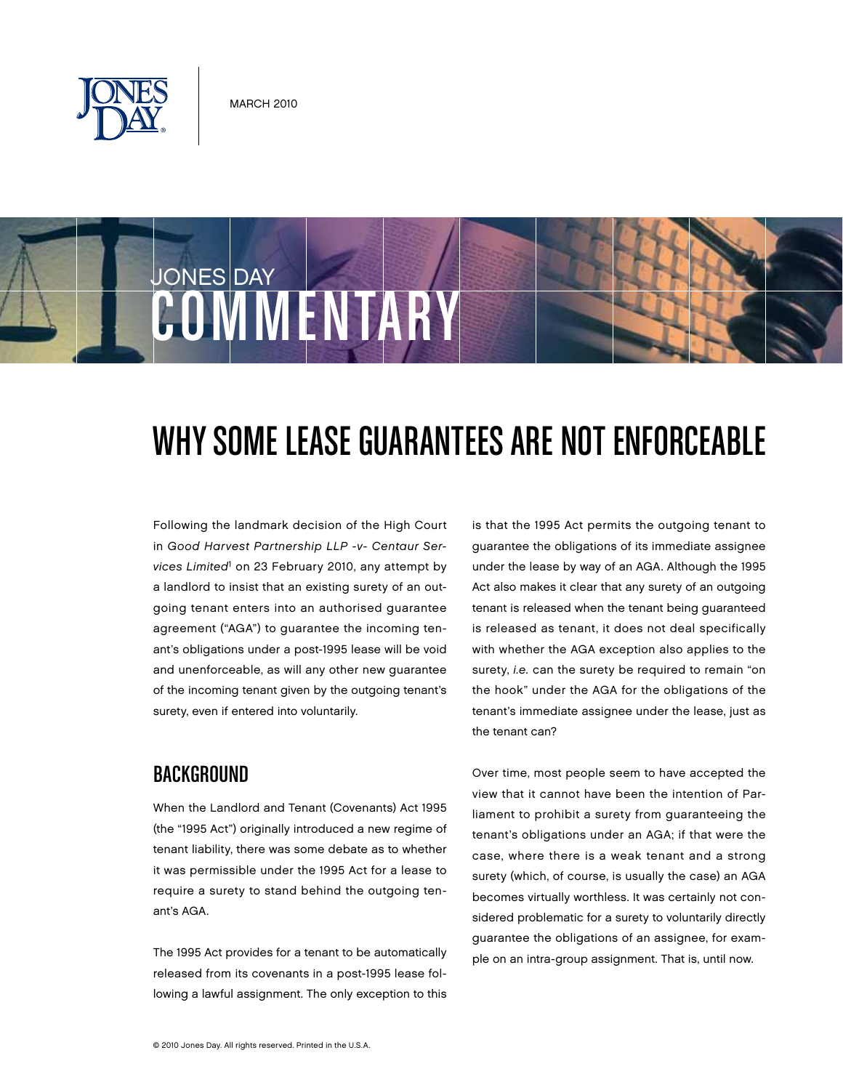



# WHY SOME LEASE GUARANTEES ARE NOT ENFORCEABLE

Following the landmark decision of the High Court in Good Harvest Partnership LLP -v- Centaur Services Limited<sup>1</sup> on 23 February 2010, any attempt by a landlord to insist that an existing surety of an outgoing tenant enters into an authorised guarantee agreement ("AGA") to guarantee the incoming tenant's obligations under a post-1995 lease will be void and unenforceable, as will any other new guarantee of the incoming tenant given by the outgoing tenant's surety, even if entered into voluntarily.

# **BACKGROUND**

When the Landlord and Tenant (Covenants) Act 1995 (the "1995 Act") originally introduced a new regime of tenant liability, there was some debate as to whether it was permissible under the 1995 Act for a lease to require a surety to stand behind the outgoing tenant's AGA.

The 1995 Act provides for a tenant to be automatically released from its covenants in a post-1995 lease following a lawful assignment. The only exception to this is that the 1995 Act permits the outgoing tenant to guarantee the obligations of its immediate assignee under the lease by way of an AGA. Although the 1995 Act also makes it clear that any surety of an outgoing tenant is released when the tenant being guaranteed is released as tenant, it does not deal specifically with whether the AGA exception also applies to the surety, *i.e.* can the surety be required to remain "on the hook" under the AGA for the obligations of the tenant's immediate assignee under the lease, just as the tenant can?

Over time, most people seem to have accepted the view that it cannot have been the intention of Parliament to prohibit a surety from guaranteeing the tenant's obligations under an AGA; if that were the case, where there is a weak tenant and a strong surety (which, of course, is usually the case) an AGA becomes virtually worthless. It was certainly not considered problematic for a surety to voluntarily directly guarantee the obligations of an assignee, for example on an intra-group assignment. That is, until now.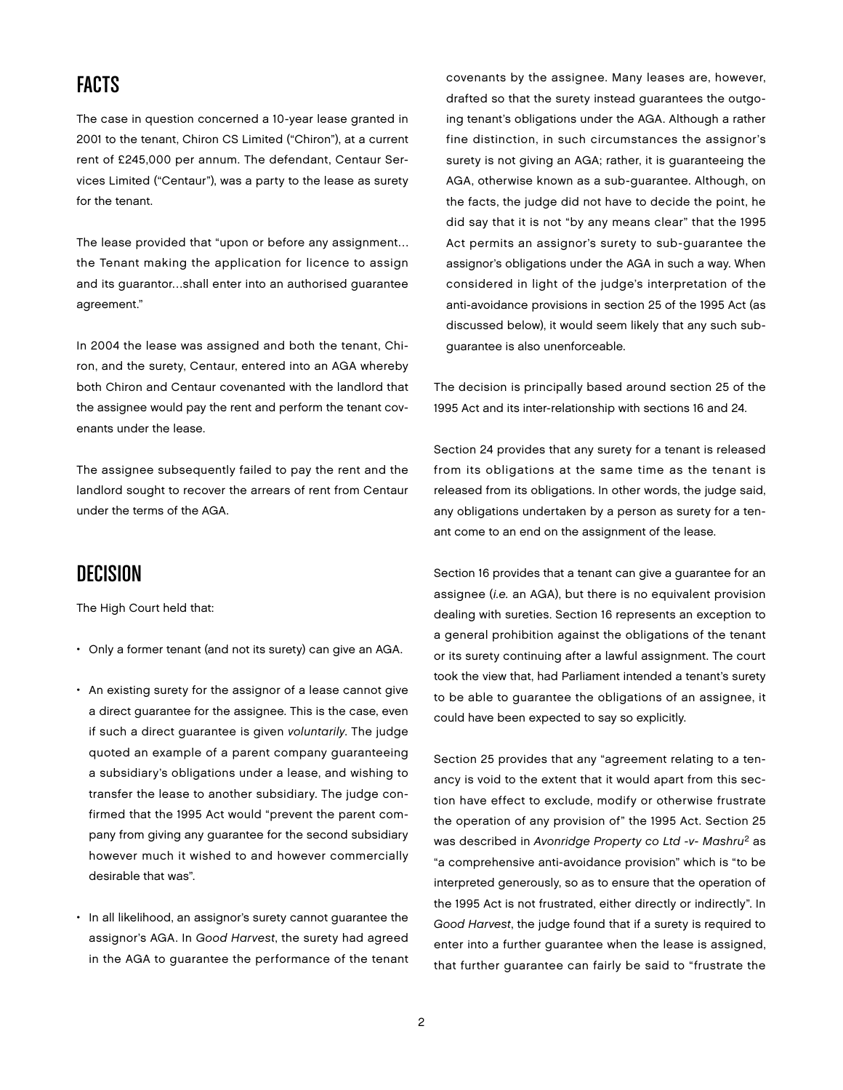# Facts

The case in question concerned a 10-year lease granted in 2001 to the tenant, Chiron CS Limited ("Chiron"), at a current rent of £245,000 per annum. The defendant, Centaur Services Limited ("Centaur"), was a party to the lease as surety for the tenant.

The lease provided that "upon or before any assignment… the Tenant making the application for licence to assign and its guarantor…shall enter into an authorised guarantee agreement."

In 2004 the lease was assigned and both the tenant, Chiron, and the surety, Centaur, entered into an AGA whereby both Chiron and Centaur covenanted with the landlord that the assignee would pay the rent and perform the tenant covenants under the lease.

The assignee subsequently failed to pay the rent and the landlord sought to recover the arrears of rent from Centaur under the terms of the AGA.

#### Decision

The High Court held that:

- Only a former tenant (and not its surety) can give an AGA.
- An existing surety for the assignor of a lease cannot give a direct guarantee for the assignee. This is the case, even if such a direct guarantee is given voluntarily. The judge quoted an example of a parent company guaranteeing a subsidiary's obligations under a lease, and wishing to transfer the lease to another subsidiary. The judge confirmed that the 1995 Act would "prevent the parent company from giving any guarantee for the second subsidiary however much it wished to and however commercially desirable that was".
- In all likelihood, an assignor's surety cannot guarantee the assignor's AGA. In Good Harvest, the surety had agreed in the AGA to guarantee the performance of the tenant

covenants by the assignee. Many leases are, however, drafted so that the surety instead guarantees the outgoing tenant's obligations under the AGA. Although a rather fine distinction, in such circumstances the assignor's surety is not giving an AGA; rather, it is guaranteeing the AGA, otherwise known as a sub-guarantee. Although, on the facts, the judge did not have to decide the point, he did say that it is not "by any means clear" that the 1995 Act permits an assignor's surety to sub-guarantee the assignor's obligations under the AGA in such a way. When considered in light of the judge's interpretation of the anti-avoidance provisions in section 25 of the 1995 Act (as discussed below), it would seem likely that any such subguarantee is also unenforceable.

The decision is principally based around section 25 of the 1995 Act and its inter-relationship with sections 16 and 24.

Section 24 provides that any surety for a tenant is released from its obligations at the same time as the tenant is released from its obligations. In other words, the judge said, any obligations undertaken by a person as surety for a tenant come to an end on the assignment of the lease.

Section 16 provides that a tenant can give a guarantee for an assignee (i.e. an AGA), but there is no equivalent provision dealing with sureties. Section 16 represents an exception to a general prohibition against the obligations of the tenant or its surety continuing after a lawful assignment. The court took the view that, had Parliament intended a tenant's surety to be able to guarantee the obligations of an assignee, it could have been expected to say so explicitly.

Section 25 provides that any "agreement relating to a tenancy is void to the extent that it would apart from this section have effect to exclude, modify or otherwise frustrate the operation of any provision of" the 1995 Act. Section 25 was described in Avonridge Property co Ltd -v- Mashru<sup>2</sup> as "a comprehensive anti-avoidance provision" which is "to be interpreted generously, so as to ensure that the operation of the 1995 Act is not frustrated, either directly or indirectly". In Good Harvest, the judge found that if a surety is required to enter into a further guarantee when the lease is assigned, that further guarantee can fairly be said to "frustrate the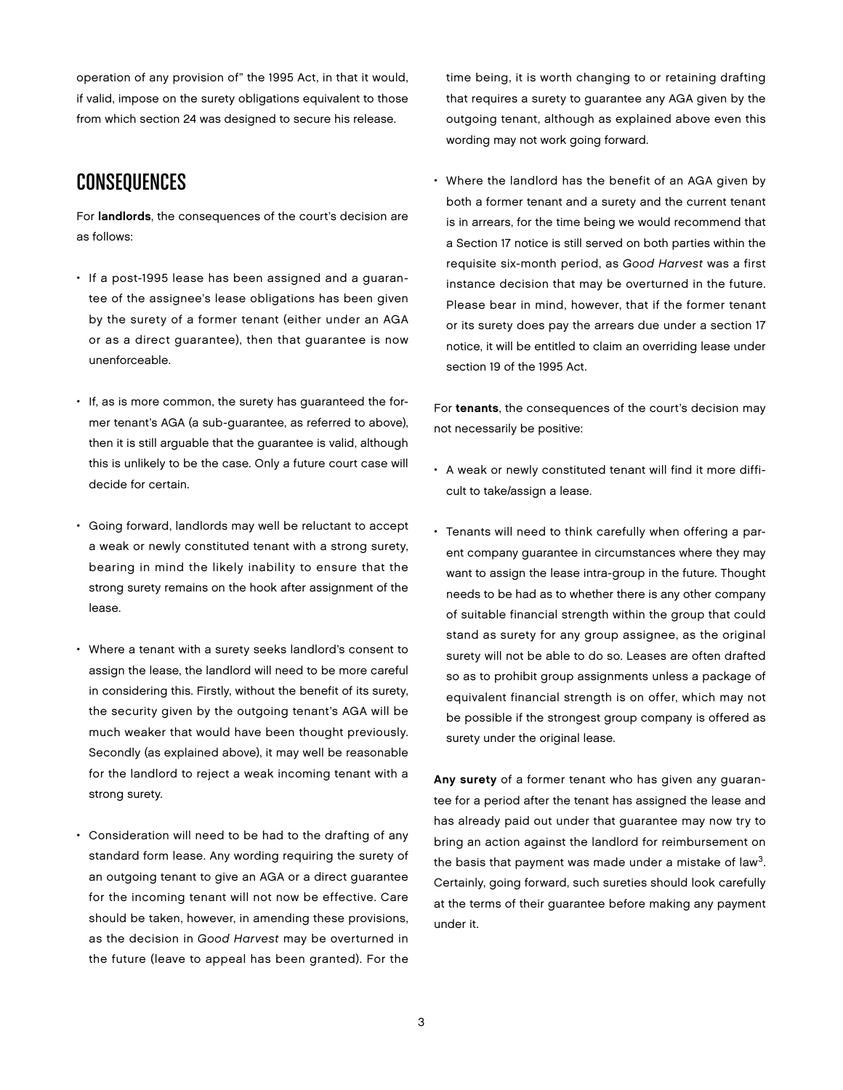operation of any provision of" the 1995 Act, in that it would, if valid, impose on the surety obligations equivalent to those from which section 24 was designed to secure his release.

### **CONSEQUENCES**

For landlords, the consequences of the court's decision are as follows:

- If a post-1995 lease has been assigned and a guarantee of the assignee's lease obligations has been given by the surety of a former tenant (either under an AGA or as a direct guarantee), then that guarantee is now unenforceable.
- If, as is more common, the surety has guaranteed the former tenant's AGA (a sub-guarantee, as referred to above), then it is still arguable that the guarantee is valid, although this is unlikely to be the case. Only a future court case will decide for certain.
- Going forward, landlords may well be reluctant to accept a weak or newly constituted tenant with a strong surety, bearing in mind the likely inability to ensure that the strong surety remains on the hook after assignment of the lease.
- Where a tenant with a surety seeks landlord's consent to assign the lease, the landlord will need to be more careful in considering this. Firstly, without the benefit of its surety, the security given by the outgoing tenant's AGA will be much weaker that would have been thought previously. Secondly (as explained above), it may well be reasonable for the landlord to reject a weak incoming tenant with a strong surety.
- Consideration will need to be had to the drafting of any standard form lease. Any wording requiring the surety of an outgoing tenant to give an AGA or a direct guarantee for the incoming tenant will not now be effective. Care should be taken, however, in amending these provisions, as the decision in Good Harvest may be overturned in the future (leave to appeal has been granted). For the

time being, it is worth changing to or retaining drafting that requires a surety to guarantee any AGA given by the outgoing tenant, although as explained above even this wording may not work going forward.

• Where the landlord has the benefit of an AGA given by both a former tenant and a surety and the current tenant is in arrears, for the time being we would recommend that a Section 17 notice is still served on both parties within the requisite six-month period, as Good Harvest was a first instance decision that may be overturned in the future. Please bear in mind, however, that if the former tenant or its surety does pay the arrears due under a section 17 notice, it will be entitled to claim an overriding lease under section 19 of the 1995 Act.

For tenants, the consequences of the court's decision may not necessarily be positive:

- A weak or newly constituted tenant will find it more difficult to take/assign a lease.
- Tenants will need to think carefully when offering a parent company guarantee in circumstances where they may want to assign the lease intra-group in the future. Thought needs to be had as to whether there is any other company of suitable financial strength within the group that could stand as surety for any group assignee, as the original surety will not be able to do so. Leases are often drafted so as to prohibit group assignments unless a package of equivalent financial strength is on offer, which may not be possible if the strongest group company is offered as surety under the original lease.

Any surety of a former tenant who has given any guarantee for a period after the tenant has assigned the lease and has already paid out under that guarantee may now try to bring an action against the landlord for reimbursement on the basis that payment was made under a mistake of law<sup>3</sup>. Certainly, going forward, such sureties should look carefully at the terms of their guarantee before making any payment under it.